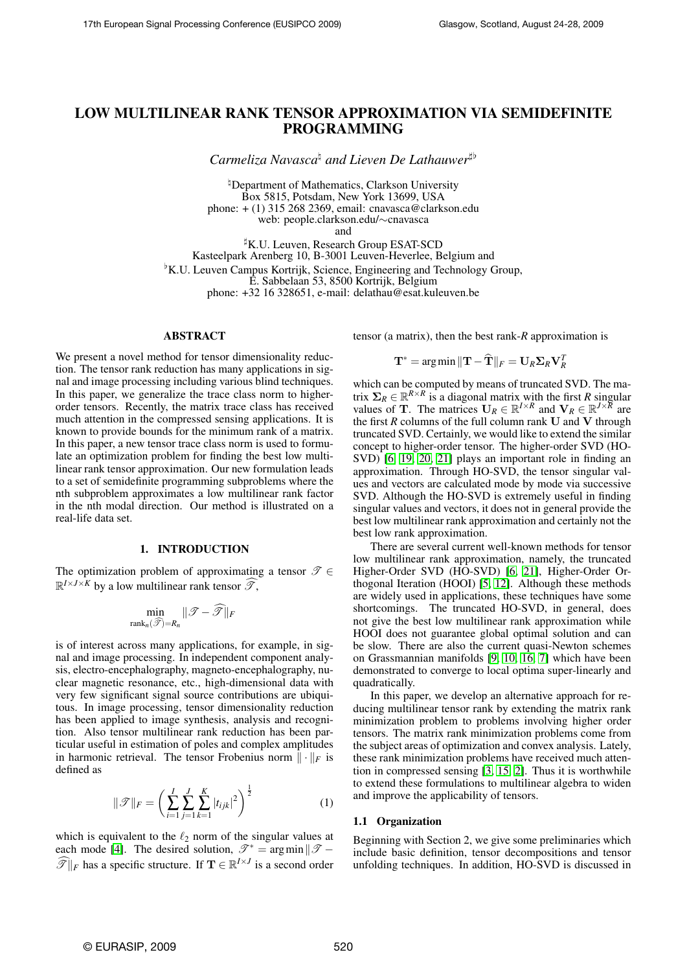# LOW MULTILINEAR RANK TENSOR APPROXIMATION VIA SEMIDEFINITE PROGRAMMING

*Carmeliza Navasca*<sup>h</sup> and Lieven De Lathauwer<sup>#b</sup>

<sup>h</sup>Department of Mathematics, Clarkson University Box 5815, Potsdam, New York 13699, USA phone: + (1) 315 268 2369, email: cnavasca@clarkson.edu web: people.clarkson.edu/∼cnavasca

and

<sup>#</sup>K.U. Leuven, Research Group ESAT-SCD Kasteelpark Arenberg 10, B-3001 Leuven-Heverlee, Belgium and <sup>b</sup>K.U. Leuven Campus Kortrijk, Science, Engineering and Technology Group, E. Sabbelaan 53, 8500 Kortrijk, Belgium phone: +32 16 328651, e-mail: delathau@esat.kuleuven.be

## ABSTRACT

We present a novel method for tensor dimensionality reduction. The tensor rank reduction has many applications in signal and image processing including various blind techniques. In this paper, we generalize the trace class norm to higherorder tensors. Recently, the matrix trace class has received much attention in the compressed sensing applications. It is known to provide bounds for the minimum rank of a matrix. In this paper, a new tensor trace class norm is used to formulate an optimization problem for finding the best low multilinear rank tensor approximation. Our new formulation leads to a set of semidefinite programming subproblems where the nth subproblem approximates a low multilinear rank factor in the nth modal direction. Our method is illustrated on a real-life data set.

## 1. INTRODUCTION

The optimization problem of approximating a tensor  $\mathscr{T} \in$  $\mathbb{R}^{I \times J \times K}$  by a low multilinear rank tensor  $\widehat{\mathscr{T}}$ ,

$$
\min_{\text{rank}_n(\widehat{\mathcal{T}})=R_n} \|\mathcal{T}-\widehat{\mathcal{T}}\|_F
$$

is of interest across many applications, for example, in signal and image processing. In independent component analysis, electro-encephalography, magneto-encephalography, nuclear magnetic resonance, etc., high-dimensional data with very few significant signal source contributions are ubiquitous. In image processing, tensor dimensionality reduction has been applied to image synthesis, analysis and recognition. Also tensor multilinear rank reduction has been particular useful in estimation of poles and complex amplitudes in harmonic retrieval. The tensor Frobenius norm  $\|\cdot\|_F$  is defined as

$$
\|\mathcal{F}\|_{F} = \left(\sum_{i=1}^{I} \sum_{j=1}^{J} \sum_{k=1}^{K} |t_{ijk}|^2\right)^{\frac{1}{2}}
$$
(1)

which is equivalent to the  $\ell_2$  norm of the singular values at each mode [\[4\]](#page-4-0). The desired solution,  $\mathscr{T}^* = \arg \min ||\mathscr{T} \widehat{\mathscr{T}}\|_F$  has a specific structure. If  $\mathbf{T} \in \mathbb{R}^{I \times J}$  is a second order

tensor (a matrix), then the best rank-*R* approximation is

$$
\mathbf{T}^* = \arg \min ||\mathbf{T} - \widehat{\mathbf{T}}||_F = \mathbf{U}_R \mathbf{\Sigma}_R \mathbf{V}_R^T
$$

which can be computed by means of truncated SVD. The matrix  $\Sigma_R \in \mathbb{R}^{R \times R}$  is a diagonal matrix with the first *R* singular values of **T**. The matrices  $\mathbf{U}_R \in \mathbb{R}^{I \times R}$  and  $\mathbf{V}_R \in \mathbb{R}^{J \times \overline{R}}$  are the first  $R$  columns of the full column rank  $U$  and  $V$  through truncated SVD. Certainly, we would like to extend the similar concept to higher-order tensor. The higher-order SVD (HO-SVD) [\[6,](#page-4-1) [19,](#page-4-2) [20,](#page-4-3) [21\]](#page-4-4) plays an important role in finding an approximation. Through HO-SVD, the tensor singular values and vectors are calculated mode by mode via successive SVD. Although the HO-SVD is extremely useful in finding singular values and vectors, it does not in general provide the best low multilinear rank approximation and certainly not the best low rank approximation.

There are several current well-known methods for tensor low multilinear rank approximation, namely, the truncated Higher-Order SVD (HO-SVD) [\[6,](#page-4-1) [21\]](#page-4-4), Higher-Order Orthogonal Iteration (HOOI) [\[5,](#page-4-5) [12\]](#page-4-6). Although these methods are widely used in applications, these techniques have some shortcomings. The truncated HO-SVD, in general, does not give the best low multilinear rank approximation while HOOI does not guarantee global optimal solution and can be slow. There are also the current quasi-Newton schemes on Grassmannian manifolds [\[9,](#page-4-7) [10,](#page-4-8) [16,](#page-4-9) [7\]](#page-4-10) which have been demonstrated to converge to local optima super-linearly and quadratically.

In this paper, we develop an alternative approach for reducing multilinear tensor rank by extending the matrix rank minimization problem to problems involving higher order tensors. The matrix rank minimization problems come from the subject areas of optimization and convex analysis. Lately, these rank minimization problems have received much attention in compressed sensing [\[3,](#page-4-11) [15,](#page-4-12) [2\]](#page-4-13). Thus it is worthwhile to extend these formulations to multilinear algebra to widen and improve the applicability of tensors.

#### 1.1 Organization

Beginning with Section 2, we give some preliminaries which include basic definition, tensor decompositions and tensor unfolding techniques. In addition, HO-SVD is discussed in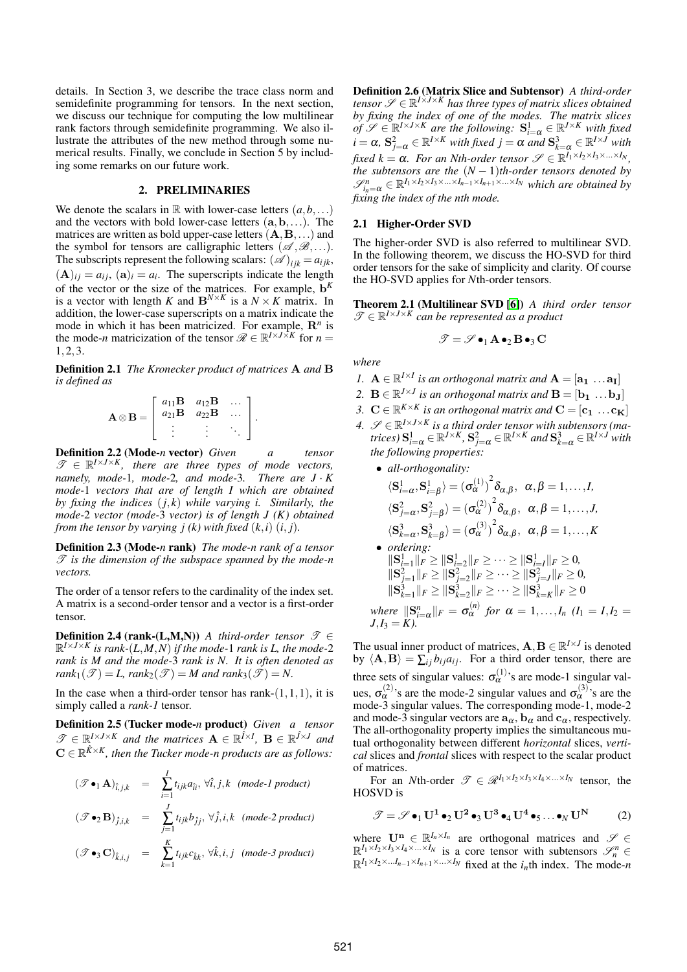details. In Section 3, we describe the trace class norm and semidefinite programming for tensors. In the next section, we discuss our technique for computing the low multilinear rank factors through semidefinite programming. We also illustrate the attributes of the new method through some numerical results. Finally, we conclude in Section 5 by including some remarks on our future work.

# 2. PRELIMINARIES

We denote the scalars in  $\mathbb R$  with lower-case letters  $(a, b, \ldots)$ and the vectors with bold lower-case letters  $(a, b, \ldots)$ . The matrices are written as bold upper-case letters  $(A, B, \ldots)$  and the symbol for tensors are calligraphic letters  $(\mathscr{A}, \mathscr{B}, \ldots)$ . The subscripts represent the following scalars:  $(\mathscr{A})_{ijk} = a_{ijk}$ ,  $(A)_{ij} = a_{ij}, (a)_i = a_i$ . The superscripts indicate the length of the vector or the size of the matrices. For example, b *K* is a vector with length *K* and  $B^{N \times K}$  is a  $N \times K$  matrix. In addition, the lower-case superscripts on a matrix indicate the mode in which it has been matricized. For example, R*<sup>n</sup>* is the mode-*n* matricization of the tensor  $\mathcal{R} \in \mathbb{R}^{I \times J \times K}$  for  $n =$ 1,2,3.

Definition 2.1 *The Kronecker product of matrices* A *and* B *is defined as*

$$
\mathbf{A} \otimes \mathbf{B} = \left[ \begin{array}{ccc} a_{11} \mathbf{B} & a_{12} \mathbf{B} & \dots \\ a_{21} \mathbf{B} & a_{22} \mathbf{B} & \dots \\ \vdots & \vdots & \ddots \end{array} \right].
$$

Definition 2.2 (Mode-*n* vector) *Given a tensor*  $\mathscr{T} \in \mathbb{R}^{I \times J \times K}$ , there are three types of mode vectors, *namely, mode-*1*, mode-*2*, and mode-*3*. There are J* · *K mode-*1 *vectors that are of length I which are obtained by fixing the indices* (*j*,*k*) *while varying i. Similarly, the mode-*2 *vector (mode-*3 *vector) is of length J (K) obtained from the tensor by varying*  $i(k)$  *with fixed*  $(k, i)$  $(i, j)$ *.* 

Definition 2.3 (Mode-*n* rank) *The mode-n rank of a tensor* T *is the dimension of the subspace spanned by the mode-n vectors.*

The order of a tensor refers to the cardinality of the index set. A matrix is a second-order tensor and a vector is a first-order tensor.

**Definition 2.4 (rank-(L,M,N))** *A third-order tensor*  $\mathscr{T} \in$ R *<sup>I</sup>*×*J*×*<sup>K</sup> is rank-*(*L*,*M*,*N*) *if the mode-*1 *rank is L, the mode-*2 *rank is M and the mode-*3 *rank is N. It is often denoted as*  $rank_1(\mathcal{T}) = L$ ,  $rank_2(\mathcal{T}) = M$  and  $rank_3(\mathcal{T}) = N$ .

In the case when a third-order tensor has rank- $(1,1,1)$ , it is simply called a *rank-1* tensor.

Definition 2.5 (Tucker mode-*n* product) *Given a tensor*  $\mathscr{T} \in \mathbb{R}^{I \times J \times K}$  and the matrices  $\mathbf{A} \in \mathbb{R}^{ \hat{I} \times I}$ ,  $\mathbf{B} \in \mathbb{R}^{ \hat{J} \times J}$  and  $\mathbf{C} \in \mathbb{R}^{\hat{K} \times K}$ , then the Tucker mode-n products are as follows:

$$
(\mathcal{F} \bullet_1 \mathbf{A})_{\hat{i},j,k} = \sum_{i=1}^I t_{ijk} a_{\hat{i}i}, \forall \hat{i}, j, k \text{ (mode-1 product)}
$$
  

$$
(\mathcal{F} \bullet_2 \mathbf{B})_{\hat{j},i,k} = \sum_{j=1}^J t_{ijk} b_{\hat{j}j}, \forall \hat{j}, i, k \text{ (mode-2 product)}
$$
  

$$
(\mathcal{F} \bullet_3 \mathbf{C})_{\hat{k},i,j} = \sum_{k=1}^K t_{ijk} c_{\hat{k}k}, \forall \hat{k}, i, j \text{ (mode-3 product)}
$$

Definition 2.6 (Matrix Slice and Subtensor) *A third-order tensor*  $\mathscr{S} \in \mathbb{R}^{I \times J \times K}$  has three types of matrix slices obtained *by fixing the index of one of the modes. The matrix slices*  $\hat{f} \mathscr{S} \in \mathbb{R}^{I \times J \times K}$  *are the following:*  $S^1_{i=\alpha} \in \mathbb{R}^{J \times K}$  *with fixed*  $i = \alpha$ ,  $S_{j=\alpha}^2 \in \mathbb{R}^{I \times K}$  *with fixed*  $j = \alpha$  *and*  $S_{k=\alpha}^3 \in \mathbb{R}^{I \times J}$  *with*  $\int \int f(x) \, dx \, dx \leq \alpha$ . For an Nth-order tensor  $\mathscr{S} \in \mathbb{R}^{I_1 \times I_2 \times I_3 \times \ldots \times I_N}$ , *the subtensors are the*  $(N-1)$ *th-order tensors denoted by*  $\mathscr{S}_{i_n=\alpha}^n \in \mathbb{R}^{I_1 \times I_2 \times I_3 \times \ldots \times I_{n-1} \times I_{n+1} \times \ldots \times I_N}$  which are obtained by *fixing the index of the nth mode.*

# 2.1 Higher-Order SVD

The higher-order SVD is also referred to multilinear SVD. In the following theorem, we discuss the HO-SVD for third order tensors for the sake of simplicity and clarity. Of course the HO-SVD applies for *N*th-order tensors.

Theorem 2.1 (Multilinear SVD [\[6\]](#page-4-1)) *A third order tensor*  $\mathscr{T} \in \mathbb{R}^{I \times J \times K}$  can be represented as a product

$$
\mathscr{T}=\mathscr{S}\bullet_1\mathbf{A}\bullet_2\mathbf{B}\bullet_3\mathbf{C}
$$

*where*

- *1.*  $\mathbf{A} \in \mathbb{R}^{I \times I}$  is an orthogonal matrix and  $\mathbf{A} = [\mathbf{a_1} \dots \mathbf{a_I}]$
- 2.  $B \in \mathbb{R}^{J \times J}$  is an orthogonal matrix and  $B = [\mathbf{b_1} \dots \mathbf{b_J}]$
- *3.*  $\mathbf{C} \in \mathbb{R}^{K \times K}$  is an orthogonal matrix and  $\mathbf{C} = [\mathbf{c_1} \dots \mathbf{c_K}]$
- *4.*  $\mathscr{S} \in \mathbb{R}^{I \times J \times K}$  *is a third order tensor with subtensors (matrices*)  $S_{i=\alpha}^1 \in \mathbb{R}^{J \times K}$ ,  $S_{j=\alpha}^2 \in \mathbb{R}^{I \times K}$  and  $S_{k=\alpha}^3 \in \mathbb{R}^{I \times J}$  with *the following properties:*
	- *all-orthogonality:*  $\langle S_{i=\alpha}^1, S_{i=\beta}^1\rangle = {(\sigma_{\alpha}^{(1)})}^2 \delta_{\alpha,\beta}, \ \ \alpha,\beta=1,\ldots,I,$  $\langle S_{j=\alpha}^2,S_{j=\beta}^2\rangle = {(\sigma_\alpha^{(2)})}^2\delta_{\alpha,\beta},~~\alpha,\beta=1,\ldots,J,$  $\langle S_{k=\alpha}^3, S_{k=\beta}^3\rangle = {(\sigma_\alpha^{(3)})}^2 \delta_{\alpha,\beta}, \ \ \alpha,\beta=1,\ldots,K$ • *ordering:*  $\|\mathbf{S}_{i=1}^1\|_F \geq \|\mathbf{S}_{i=2}^1\|_F \geq \cdots \geq \|\mathbf{S}_{i=I}^1\|_F \geq 0$ ,  $\|\mathbf{S}_{j=1}^2\|_F \geq \|\mathbf{S}_{j=2}^2\|_F \geq \cdots \geq \|\mathbf{S}_{j=J}^2\|_F \geq 0$  $\|\mathbf{S}_{k=1}^3\|_F \geq \|\mathbf{S}_{k=2}^3\|_F \geq \cdots \geq \|\mathbf{S}_{k=K}^3\|_F \geq 0$

where 
$$
||S_{i=\alpha}^{n}||_F = \sigma_{\alpha}^{(n)}
$$
 for  $\alpha = 1,..., I_n$   $(I_1 = I, I_2 = J, I_3 = K)$ .

The usual inner product of matrices,  $\mathbf{A}, \mathbf{B} \in \mathbb{R}^{I \times J}$  is denoted by  $\langle \mathbf{A}, \mathbf{B} \rangle = \sum_{i} b_{ij} a_{ij}$ . For a third order tensor, there are three sets of singular values:  $\sigma_{\alpha}^{(1)}$ 's are mode-1 singular values,  $\sigma_{\alpha}^{(2)}$ 's are the mode-2 singular values and  $\sigma_{\alpha}^{(3)}$ 's are the mode-3 singular values. The corresponding mode-1, mode-2 and mode-3 singular vectors are  $a_{\alpha}$ ,  $b_{\alpha}$  and  $c_{\alpha}$ , respectively. The all-orthogonality property implies the simultaneous mutual orthogonality between different *horizontal* slices, *vertical* slices and *frontal* slices with respect to the scalar product of matrices.

For an *N*th-order  $\mathscr{T} \in \mathscr{R}^{I_1 \times I_2 \times I_3 \times I_4 \times \ldots \times I_N}$  tensor, the HOSVD is

<span id="page-1-0"></span>
$$
\mathscr{T} = \mathscr{S} \bullet_1 \mathbf{U}^1 \bullet_2 \mathbf{U}^2 \bullet_3 \mathbf{U}^3 \bullet_4 \mathbf{U}^4 \bullet_5 \dots \bullet_N \mathbf{U}^N \tag{2}
$$

where  $\mathbf{U}^{\mathbf{n}} \in \mathbb{R}^{I_n \times I_n}$  are orthogonal matrices and  $\mathscr{S} \in$  $\mathbb{R}^{I_1 \times I_2 \times I_3 \times I_4 \times ... \times I_N}$  is a core tensor with subtensors  $\mathcal{S}_n^n \in \mathbb{R}^{I_1 \times I_2 \times ... I_{n-1} \times I_{n+1} \times ... \times I_N}$  fixed at the *i<sub>n</sub>*th index. The mode-*n*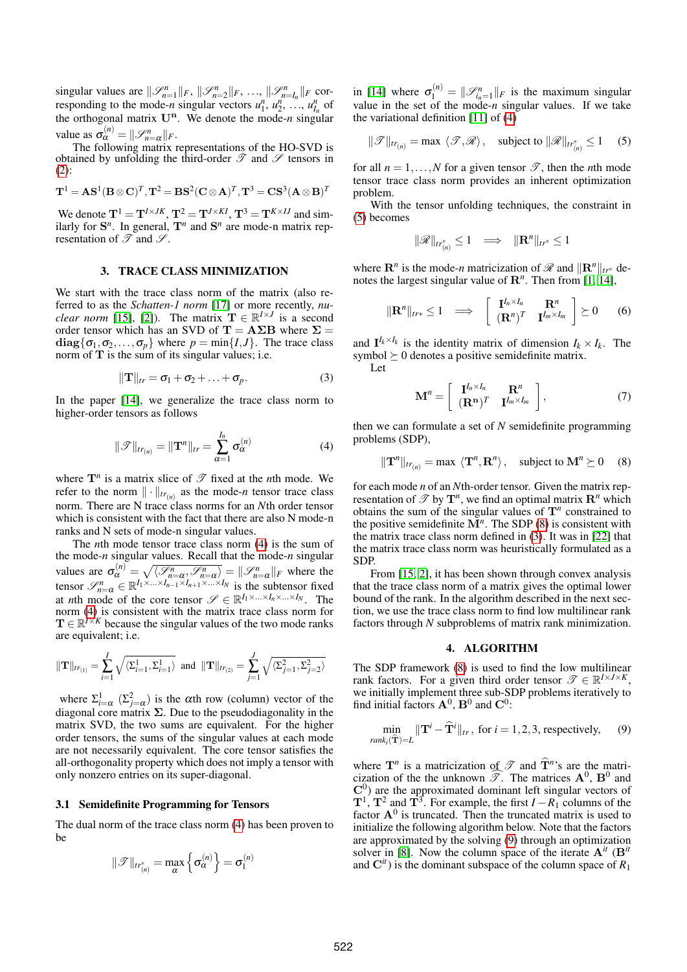singular values are  $\|\mathcal{S}_{n=1}^n\|_F$ ,  $\|\mathcal{S}_{n=2}^n\|_F$ , ...,  $\|\mathcal{S}_{n=I_n}^n\|_F$  corresponding to the mode-*n* singular vectors  $u_1^n, u_2^n, \ldots, u_{I_n}^n$  of the orthogonal matrix  $U^n$ . We denote the mode-*n* singular value as  $\sigma_{\alpha}^{(n)} = ||\mathcal{S}_{n=\alpha}^{n}||_F$ .

The following matrix representations of the HO-SVD is obtained by unfolding the third-order  $\mathscr T$  and  $\mathscr S$  tensors in [\(2\)](#page-1-0):

$$
\mathbf{T}^1=\mathbf{AS}^1(\mathbf{B}\otimes\mathbf{C})^T,\mathbf{T}^2=\mathbf{BS}^2(\mathbf{C}\otimes\mathbf{A})^T,\mathbf{T}^3=\mathbf{CS}^3(\mathbf{A}\otimes\mathbf{B})^T
$$

We denote  $T^1 = T^{I \times JK}$ ,  $T^2 = T^{J \times Kl}$ ,  $T^3 = T^{K \times IJ}$  and similarly for  $S<sup>n</sup>$ . In general,  $T<sup>n</sup>$  and  $S<sup>n</sup>$  are mode-n matrix representation of  $\mathscr T$  and  $\mathscr S$ .

#### 3. TRACE CLASS MINIMIZATION

We start with the trace class norm of the matrix (also referred to as the *Schatten-1 norm* [\[17\]](#page-4-14) or more recently, *nuclear norm* [\[15\]](#page-4-12), [\[2\]](#page-4-13)). The matrix  $\mathbf{T} \in \mathbb{R}^{I \times J}$  is a second order tensor which has an SVD of  $T = A\Sigma B$  where  $\Sigma =$  $diag{\sigma_1, \sigma_2, ..., \sigma_p}$  where  $p = min{I, J}$ . The trace class norm of  $T$  is the sum of its singular values; i.e.

<span id="page-2-3"></span>
$$
\|\mathbf{T}\|_{tr} = \sigma_1 + \sigma_2 + \ldots + \sigma_p. \tag{3}
$$

In the paper [\[14\]](#page-4-15), we generalize the trace class norm to higher-order tensors as follows

<span id="page-2-0"></span>
$$
\|\mathcal{T}\|_{tr_{(n)}} = \|\mathbf{T}^n\|_{tr} = \sum_{\alpha=1}^{I_n} \sigma_\alpha^{(n)}
$$
(4)

where  $\mathbf{T}^n$  is a matrix slice of  $\mathcal{T}$  fixed at the *n*th mode. We refer to the norm  $\|\cdot\|_{tr_{(n)}}$  as the mode-*n* tensor trace class norm. There are N trace class norms for an *N*th order tensor which is consistent with the fact that there are also N mode-n ranks and N sets of mode-n singular values.

The *n*th mode tensor trace class norm [\(4\)](#page-2-0) is the sum of the mode-*n* singular values. Recall that the mode-*n* singular values are  $\sigma_{\alpha}^{(n)} = \sqrt{\langle \mathcal{S}_{n=\alpha}^n, \mathcal{S}_{n=\alpha}^n \rangle} = ||\mathcal{S}_{n=\alpha}^n||_F$  where the tensor  $\mathscr{S}_{n=\alpha}^n \in \mathbb{R}^{I_1 \times \ldots \times I_{n-1} \times I_{n+1} \times \ldots \times I_N}$  is the subtensor fixed at *n*th mode of the core tensor  $\mathscr{S} \in \mathbb{R}^{I_1 \times ... \times I_n \times ... \times I_N}$ . The norm [\(4\)](#page-2-0) is consistent with the matrix trace class norm for  $\mathbf{T} \in \mathbb{R}^{N \times K}$  because the singular values of the two mode ranks are equivalent; i.e.

$$
\|\mathbf{T}\|_{tr_{(1)}} = \sum_{i=1}^{I} \sqrt{\langle \Sigma_{i=1}^{1}, \Sigma_{i=1}^{1} \rangle} \text{ and } \|\mathbf{T}\|_{tr_{(2)}} = \sum_{j=1}^{J} \sqrt{\langle \Sigma_{j=1}^{2}, \Sigma_{j=2}^{2} \rangle}
$$

where  $\Sigma_{i=\alpha}^{1}$  ( $\Sigma_{j=\alpha}^{2}$ ) is the  $\alpha$ th row (column) vector of the diagonal core matrix  $\Sigma$ . Due to the pseudodiagonality in the matrix SVD, the two sums are equivalent. For the higher order tensors, the sums of the singular values at each mode are not necessarily equivalent. The core tensor satisfies the all-orthogonality property which does not imply a tensor with only nonzero entries on its super-diagonal.

#### 3.1 Semidefinite Programming for Tensors

The dual norm of the trace class norm [\(4\)](#page-2-0) has been proven to be

$$
\|\mathcal{T}\|_{tr_{(n)}^*} = \max_{\alpha} \left\{ \sigma_{\alpha}^{(n)} \right\} = \sigma_1^{(n)}
$$

in [\[14\]](#page-4-15) where  $\sigma_1^{(n)} = ||\mathcal{S}_{i_n=1}^n||_F$  is the maximum singular value in the set of the mode-*n* singular values. If we take the variational definition [\[11\]](#page-4-16) of [\(4\)](#page-2-0)

<span id="page-2-1"></span>
$$
\|\mathscr{T}\|_{tr_{(n)}} = \max \langle \mathscr{T}, \mathscr{R} \rangle, \quad \text{subject to } \|\mathscr{R}\|_{tr_{(n)}^*} \le 1 \quad (5)
$$

for all  $n = 1, \ldots, N$  for a given tensor  $\mathscr{T}$ , then the *n*th mode tensor trace class norm provides an inherent optimization problem.

With the tensor unfolding techniques, the constraint in [\(5\)](#page-2-1) becomes

$$
\|\mathscr{R}\|_{tr^*_{(n)}} \le 1 \quad \Longrightarrow \quad \|\mathbf{R}^n\|_{tr^*} \le 1
$$

where  $\mathbf{R}^n$  is the mode-*n* matricization of  $\mathcal{R}$  and  $\|\mathbf{R}^n\|_{tr^*}$  denotes the largest singular value of  $\mathbb{R}^n$ . Then from [\[1,](#page-4-17) [14\]](#page-4-15),

<span id="page-2-5"></span>
$$
\|\mathbf{R}^n\|_{tr*} \le 1 \quad \Longrightarrow \quad \left[\begin{array}{cc} \mathbf{I}^{I_n \times I_n} & \mathbf{R}^n \\ (\mathbf{R}^n)^T & \mathbf{I}^{I_m \times I_m} \end{array}\right] \succeq 0 \qquad (6)
$$

and  $\mathbf{I}^{I_k \times I_k}$  is the identity matrix of dimension  $I_k \times I_k$ . The symbol  $\succeq 0$  denotes a positive semidefinite matrix. Let

<span id="page-2-6"></span><span id="page-2-2"></span>
$$
\mathbf{M}^{n} = \left[ \begin{array}{cc} \mathbf{I}^{I_{n} \times I_{n}} & \mathbf{R}^{n} \\ (\mathbf{R}^{\mathbf{n}})^{T} & \mathbf{I}^{I_{m} \times I_{m}} \end{array} \right], \tag{7}
$$

then we can formulate a set of *N* semidefinite programming problems (SDP),

$$
\|\mathbf{T}^n\|_{tr_{(n)}} = \max \langle \mathbf{T}^n, \mathbf{R}^n \rangle, \text{ subject to } \mathbf{M}^n \succeq 0 \quad (8)
$$

for each mode *n* of an *N*th-order tensor. Given the matrix representation of  $\mathscr{T}$  by  $\mathbf{T}^n$ , we find an optimal matrix  $\mathbf{R}^n$  which obtains the sum of the singular values of  $\mathbf{T}^n$  constrained to the positive semidefinite  $\overline{M}^n$ . The SDP [\(8\)](#page-2-2) is consistent with the matrix trace class norm defined in [\(3\)](#page-2-3). It was in [\[22\]](#page-4-18) that the matrix trace class norm was heuristically formulated as a SDP.

From [\[15,](#page-4-12) [2\]](#page-4-13), it has been shown through convex analysis that the trace class norm of a matrix gives the optimal lower bound of the rank. In the algorithm described in the next section, we use the trace class norm to find low multilinear rank factors through *N* subproblems of matrix rank minimization.

## <span id="page-2-4"></span>4. ALGORITHM

The SDP framework [\(8\)](#page-2-2) is used to find the low multilinear rank factors. For a given third order tensor  $\mathscr{T} \in \mathbb{R}^{I \times J \times K}$ , we initially implement three sub-SDP problems iteratively to find initial factors  $\mathbf{A}^0$ ,  $\mathbf{B}^0$  and  $\mathbf{C}^0$ :

$$
\min_{rank_i(\hat{\mathbf{T}})=L} \|\mathbf{T}^i - \hat{\mathbf{T}}^i\|_{tr}, \text{ for } i = 1, 2, 3, \text{ respectively,} \qquad (9)
$$

where  $\mathbf{T}^n$  is a matricization of  $\mathscr{T}$  and  $\hat{\mathbf{T}}^n$ 's are the matri-<br>circline of the the unknown  $\widehat{\mathscr{T}}$ . The matrices  $\mathbf{A}^0$ ,  $\mathbf{D}^0$  and cization of the the unknown  $\widehat{\mathscr{F}}$ . The matrices  $\mathbf{A}^0$ ,  $\mathbf{B}^0$  and  $\mathbf{G}^0$  $C<sup>0</sup>$ ) are the approximated dominant left singular vectors of  $T^1$ ,  $T^2$  and  $T^3$ . For example, the first *I* − *R*<sub>1</sub> columns of the factor  $A^0$  is truncated. Then the truncated matrix is used to initialize the following algorithm below. Note that the factors are approximated by the solving [\(9\)](#page-2-4) through an optimization solver in [\[8\]](#page-4-19). Now the column space of the iterate  $A^{it}$  ( $B^{it}$ and  $\mathbf{C}^{it}$ ) is the dominant subspace of the column space of  $R_1$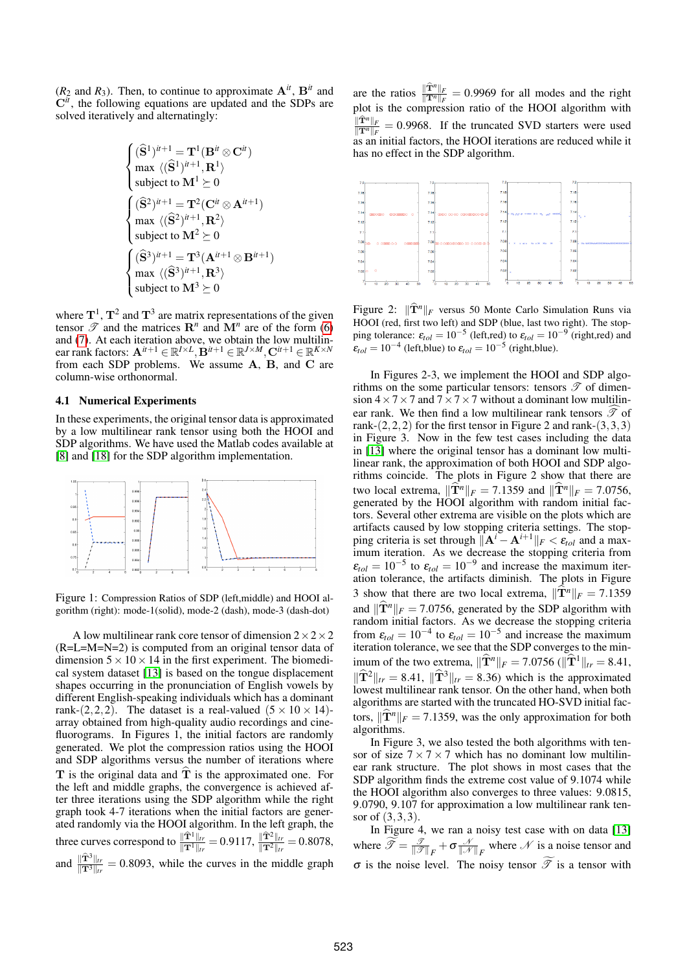$(R_2 \text{ and } R_3)$ . Then, to continue to approximate  $\mathbf{A}^{\textit{it}}$ ,  $\mathbf{B}^{\textit{it}}$  and C*it*, the following equations are updated and the SDPs are solved iteratively and alternatingly:

$$
\begin{cases} (\widehat{\mathbf{S}}^1)^{it+1} = \mathbf{T}^1(\mathbf{B}^{it}\otimes\mathbf{C}^{it}) \\ \max\ \langle (\widehat{\mathbf{S}}^1)^{it+1},\mathbf{R}^1\rangle \\ \text{subject to } \mathbf{M}^1\succeq 0 \\ \begin{cases} (\widehat{\mathbf{S}}^2)^{it+1} = \mathbf{T}^2(\mathbf{C}^{it}\otimes\mathbf{A}^{it+1}) \\ \max\ \langle (\widehat{\mathbf{S}}^2)^{it+1},\mathbf{R}^2\rangle \\ \text{subject to } \mathbf{M}^2\succeq 0 \\ \begin{cases} (\widehat{\mathbf{S}}^3)^{it+1} = \mathbf{T}^3(\mathbf{A}^{it+1}\otimes\mathbf{B}^{it+1}) \\ \max\ \langle (\widehat{\mathbf{S}}^3)^{it+1},\mathbf{R}^3\rangle \\ \text{subject to } \mathbf{M}^3\succeq 0 \end{cases} \end{cases}
$$

where  $T^1$ ,  $T^2$  and  $T^3$  are matrix representations of the given tensor  $\mathscr T$  and the matrices  $\mathbb{R}^n$  and  $\mathbb{M}^n$  are of the form [\(6\)](#page-2-5) and [\(7\)](#page-2-6). At each iteration above, we obtain the low multilinear rank factors:  $\mathbf{A}^{it+1} \in \mathbb{R}^{I \times L}, \mathbf{B}^{it+1} \in \mathbb{R}^{J \times M}, \mathbf{C}^{it+1} \in \mathbb{R}^{K \times N}$ from each SDP problems. We assume A, B, and C are column-wise orthonormal.

### 4.1 Numerical Experiments

In these experiments, the original tensor data is approximated by a low multilinear rank tensor using both the HOOI and SDP algorithms. We have used the Matlab codes available at [\[8\]](#page-4-19) and [\[18\]](#page-4-20) for the SDP algorithm implementation.



Figure 1: Compression Ratios of SDP (left,middle) and HOOI algorithm (right): mode-1(solid), mode-2 (dash), mode-3 (dash-dot)

A low multilinear rank core tensor of dimension  $2 \times 2 \times 2$ (R=L=M=N=2) is computed from an original tensor data of dimension  $5 \times 10 \times 14$  in the first experiment. The biomedical system dataset [\[13\]](#page-4-21) is based on the tongue displacement shapes occurring in the pronunciation of English vowels by different English-speaking individuals which has a dominant rank-(2,2,2). The dataset is a real-valued  $(5 \times 10 \times 14)$ array obtained from high-quality audio recordings and cinefluorograms. In Figures 1, the initial factors are randomly generated. We plot the compression ratios using the HOOI and SDP algorithms versus the number of iterations where T is the original data and  $\hat{T}$  is the approximated one. For the left and middle graphs, the convergence is achieved after three iterations using the SDP algorithm while the right graph took 4-7 iterations when the initial factors are generated randomly via the HOOI algorithm. In the left graph, the three curves correspond to  $\frac{\|\hat{\mathbf{T}}^1\|_{tr}}{\|\mathbf{T}^1\|_{tr}} = 0.9117$ ,  $\frac{\|\hat{\mathbf{T}}^2\|_{tr}}{\|\mathbf{T}^2\|_{tr}} = 0.8078$ , and  $\frac{\Vert \hat{T}^3 \Vert_{lt}}{\Vert \hat{T}^3 \Vert_{lt}} = 0.8093$ , while the curves in the middle graph

are the ratios  $\frac{\hat{T}^n \| F}{\| \hat{T}^n \|_F} = 0.9969$  for all modes and the right plot is the compression ratio of the HOOI algorithm with  $\frac{\Vert \hat{\mathbf{T}}^n \Vert_F}{\Vert \mathbf{T}^n \Vert_F} = 0.9968$ . If the truncated SVD starters were used as an initial factors, the HOOI iterations are reduced while it has no effect in the SDP algorithm.



Figure 2:  $\|\hat{\mathbf{T}}^n\|_F$  versus 50 Monte Carlo Simulation Runs via HOOI (red, first two left) and SDP (blue, last two right). The stopping tolerance:  $\varepsilon_{tol} = 10^{-5}$  (left,red) to  $\varepsilon_{tol} = 10^{-9}$  (right,red) and  $\varepsilon_{tol} = 10^{-4}$  (left,blue) to  $\varepsilon_{tol} = 10^{-5}$  (right,blue).

In Figures 2-3, we implement the HOOI and SDP algorithms on the some particular tensors: tensors  $\mathscr T$  of dimension  $4 \times 7 \times 7$  and  $7 \times 7 \times 7$  without a dominant low multilinear rank. We then find a low multilinear rank tensors  $\widehat{\mathscr{T}}$  of rank- $(2,2,2)$  for the first tensor in Figure 2 and rank- $(3,3,3)$ in Figure 3. Now in the few test cases including the data in [\[13\]](#page-4-21) where the original tensor has a dominant low multilinear rank, the approximation of both HOOI and SDP algorithms coincide. The plots in Figure 2 show that there are two local extrema,  $\|\hat{\mathbf{T}}^{n}\|_{F} = 7.1359$  and  $\|\hat{\mathbf{T}}^{n}\|_{F} = 7.0756$ , generated by the HOOI algorithm with random initial factors. Several other extrema are visible on the plots which are artifacts caused by low stopping criteria settings. The stopping criteria is set through  $\|\mathbf{A}^i - \mathbf{A}^{i+1}\|_F < \varepsilon_{tol}$  and a maximum iteration. As we decrease the stopping criteria from  $\varepsilon_{tol} = 10^{-5}$  to  $\varepsilon_{tol} = 10^{-9}$  and increase the maximum iteration tolerance, the artifacts diminish. The plots in Figure 3 show that there are two local extrema,  $\|\mathbf{T}^n\|_F = 7.1359$ and  $\|\hat{\mathbf{T}}^n\|_F = 7.0756$ , generated by the SDP algorithm with random initial factors. As we decrease the stopping criteria from  $\varepsilon_{tol} = 10^{-4}$  to  $\varepsilon_{tol} = 10^{-5}$  and increase the maximum iteration tolerance, we see that the SDP converges to the minimum of the two extrema,  $\|\hat{\mathbf{T}}^{n}\|_{F} = 7.0756 \left(\|\hat{\mathbf{T}}^{1}\|_{tr} = 8.41\right)$ ,  $\|\widehat{\mathbf{T}}^2\|_{tr} = 8.41, \|\widehat{\mathbf{T}}^3\|_{tr} = 8.36$ ) which is the approximated lowest multilinear rank tensor. On the other hand, when both algorithms are started with the truncated HO-SVD initial factors,  $\|\widehat{\mathbf{T}}^{n}\|_{F} = 7.1359$ , was the only approximation for both algorithms.

In Figure 3, we also tested the both algorithms with tensor of size  $7 \times 7 \times 7$  which has no dominant low multilinear rank structure. The plot shows in most cases that the SDP algorithm finds the extreme cost value of 9.1074 while the HOOI algorithm also converges to three values: 9.0815, 9.0790, 9.107 for approximation a low multilinear rank tensor of (3,3,3).

In Figure 4, we ran a noisy test case with on data [\[13\]](#page-4-21) where  $\mathscr{T} = \frac{\mathscr{T}}{\|\mathscr{T}\|_F} + \sigma \frac{\mathscr{N}}{\|\mathscr{N}\|_F}$  where  $\mathscr{N}$  is a noise tensor and  $\sigma$  is the noise level. The noisy tensor  $\widetilde{\mathscr{T}}$  is a tensor with